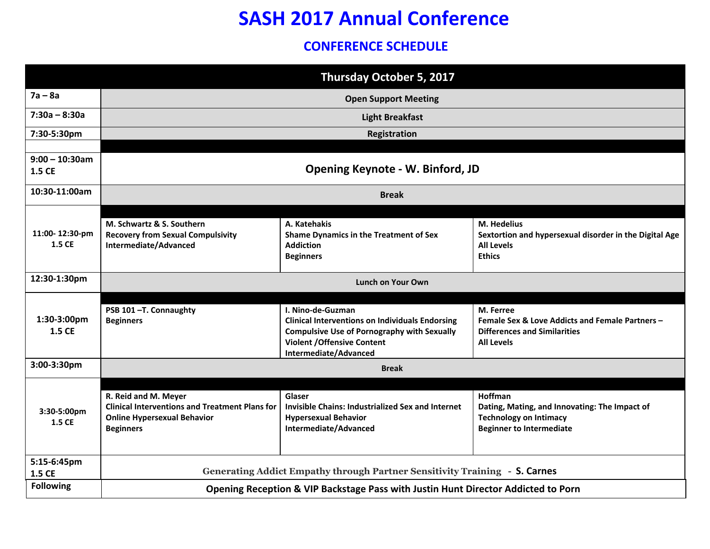## **SASH 2017 Annual Conference**

#### **CONFERENCE SCHEDULE**

| Thursday October 5, 2017    |                                                                                                                                         |                                                                                                                                                                                                  |                                                                                                                              |  |  |
|-----------------------------|-----------------------------------------------------------------------------------------------------------------------------------------|--------------------------------------------------------------------------------------------------------------------------------------------------------------------------------------------------|------------------------------------------------------------------------------------------------------------------------------|--|--|
| $7a - 8a$                   | <b>Open Support Meeting</b>                                                                                                             |                                                                                                                                                                                                  |                                                                                                                              |  |  |
| $7:30a - 8:30a$             | <b>Light Breakfast</b>                                                                                                                  |                                                                                                                                                                                                  |                                                                                                                              |  |  |
| 7:30-5:30pm                 | Registration                                                                                                                            |                                                                                                                                                                                                  |                                                                                                                              |  |  |
| $9:00 - 10:30$ am<br>1.5 CE | <b>Opening Keynote - W. Binford, JD</b>                                                                                                 |                                                                                                                                                                                                  |                                                                                                                              |  |  |
| 10:30-11:00am               | <b>Break</b>                                                                                                                            |                                                                                                                                                                                                  |                                                                                                                              |  |  |
| 11:00-12:30-pm<br>1.5 CE    | M. Schwartz & S. Southern<br><b>Recovery from Sexual Compulsivity</b><br>Intermediate/Advanced                                          | A. Katehakis<br><b>Shame Dynamics in the Treatment of Sex</b><br><b>Addiction</b><br><b>Beginners</b>                                                                                            | M. Hedelius<br>Sextortion and hypersexual disorder in the Digital Age<br><b>All Levels</b><br><b>Ethics</b>                  |  |  |
| 12:30-1:30pm                | Lunch on Your Own                                                                                                                       |                                                                                                                                                                                                  |                                                                                                                              |  |  |
| 1:30-3:00pm<br>1.5 CE       | PSB 101-T. Connaughty<br><b>Beginners</b>                                                                                               | I. Nino-de-Guzman<br><b>Clinical Interventions on Individuals Endorsing</b><br><b>Compulsive Use of Pornography with Sexually</b><br><b>Violent / Offensive Content</b><br>Intermediate/Advanced | M. Ferree<br>Female Sex & Love Addicts and Female Partners -<br><b>Differences and Similarities</b><br><b>All Levels</b>     |  |  |
| 3:00-3:30pm                 | <b>Break</b>                                                                                                                            |                                                                                                                                                                                                  |                                                                                                                              |  |  |
| 3:30-5:00pm<br>1.5 CE       | R. Reid and M. Meyer<br><b>Clinical Interventions and Treatment Plans for</b><br><b>Online Hypersexual Behavior</b><br><b>Beginners</b> | Glaser<br><b>Invisible Chains: Industrialized Sex and Internet</b><br><b>Hypersexual Behavior</b><br>Intermediate/Advanced                                                                       | Hoffman<br>Dating, Mating, and Innovating: The Impact of<br><b>Technology on Intimacy</b><br><b>Beginner to Intermediate</b> |  |  |
| 5:15-6:45pm<br>1.5 CE       | Generating Addict Empathy through Partner Sensitivity Training - S. Carnes                                                              |                                                                                                                                                                                                  |                                                                                                                              |  |  |
| <b>Following</b>            | Opening Reception & VIP Backstage Pass with Justin Hunt Director Addicted to Porn                                                       |                                                                                                                                                                                                  |                                                                                                                              |  |  |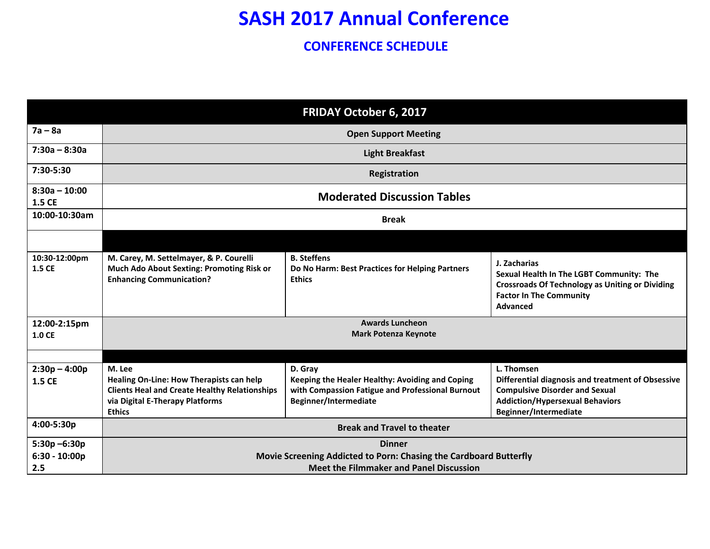# **SASH 2017 Annual Conference**

#### **CONFERENCE SCHEDULE**

|                                           |                                                                                                                                                                | <b>FRIDAY October 6, 2017</b>                                                                                                           |                                                                                                                                                                             |  |
|-------------------------------------------|----------------------------------------------------------------------------------------------------------------------------------------------------------------|-----------------------------------------------------------------------------------------------------------------------------------------|-----------------------------------------------------------------------------------------------------------------------------------------------------------------------------|--|
| $7a - 8a$                                 | <b>Open Support Meeting</b>                                                                                                                                    |                                                                                                                                         |                                                                                                                                                                             |  |
| $7:30a - 8:30a$                           | <b>Light Breakfast</b>                                                                                                                                         |                                                                                                                                         |                                                                                                                                                                             |  |
| 7:30-5:30                                 | Registration                                                                                                                                                   |                                                                                                                                         |                                                                                                                                                                             |  |
| $8:30a - 10:00$<br>1.5 CE                 | <b>Moderated Discussion Tables</b>                                                                                                                             |                                                                                                                                         |                                                                                                                                                                             |  |
| 10:00-10:30am                             | <b>Break</b>                                                                                                                                                   |                                                                                                                                         |                                                                                                                                                                             |  |
|                                           |                                                                                                                                                                |                                                                                                                                         |                                                                                                                                                                             |  |
| 10:30-12:00pm<br>1.5 CE                   | M. Carey, M. Settelmayer, & P. Courelli<br>Much Ado About Sexting: Promoting Risk or<br><b>Enhancing Communication?</b>                                        | <b>B.</b> Steffens<br>Do No Harm: Best Practices for Helping Partners<br><b>Ethics</b>                                                  | J. Zacharias<br>Sexual Health In The LGBT Community: The<br><b>Crossroads Of Technology as Uniting or Dividing</b><br><b>Factor In The Community</b><br><b>Advanced</b>     |  |
| 12:00-2:15pm<br>1.0 CE                    | <b>Awards Luncheon</b><br><b>Mark Potenza Keynote</b>                                                                                                          |                                                                                                                                         |                                                                                                                                                                             |  |
| $2:30p - 4:00p$<br>1.5 CE                 | M. Lee<br>Healing On-Line: How Therapists can help<br><b>Clients Heal and Create Healthy Relationships</b><br>via Digital E-Therapy Platforms<br><b>Ethics</b> | D. Gray<br>Keeping the Healer Healthy: Avoiding and Coping<br>with Compassion Fatigue and Professional Burnout<br>Beginner/Intermediate | L. Thomsen<br>Differential diagnosis and treatment of Obsessive<br><b>Compulsive Disorder and Sexual</b><br><b>Addiction/Hypersexual Behaviors</b><br>Beginner/Intermediate |  |
| 4:00-5:30p                                | <b>Break and Travel to theater</b>                                                                                                                             |                                                                                                                                         |                                                                                                                                                                             |  |
| $5:30p - 6:30p$<br>$6:30 - 10:00p$<br>2.5 | <b>Dinner</b><br>Movie Screening Addicted to Porn: Chasing the Cardboard Butterfly<br><b>Meet the Filmmaker and Panel Discussion</b>                           |                                                                                                                                         |                                                                                                                                                                             |  |